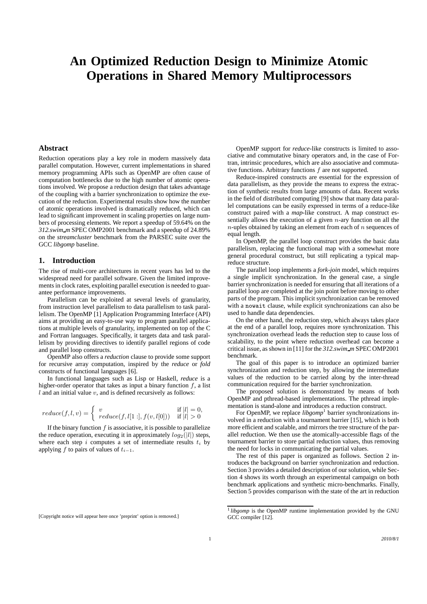# **An Optimized Reduction Design to Minimize Atomic Operations in Shared Memory Multiprocessors**

# **Abstract**

Reduction operations play a key role in modern massively data parallel computation. However, current implementations in shared memory programming APIs such as OpenMP are often cause of computation bottlenecks due to the high number of atomic operations involved. We propose a reduction design that takes advantage of the coupling with a barrier synchronization to optimize the execution of the reduction. Experimental results show how the number of atomic operations involved is dramatically reduced, which can lead to significant improvement in scaling properties on large numbers of processing elements. We report a speedup of 59.64% on the *312.swim m* SPEC OMP2001 benchmark and a speedup of 24.89% on the *streamcluster* benchmark from the PARSEC suite over the GCC *libgomp* baseline.

## **1. Introduction**

The rise of multi-core architectures in recent years has led to the widespread need for parallel software. Given the limited improvements in clock rates, exploiting parallel execution is needed to guarantee performance improvements.

Parallelism can be exploited at several levels of granularity, from instruction level parallelism to data parallelism to task parallelism. The OpenMP [1] Application Programming Interface (API) aims at providing an easy-to-use way to program parallel applications at multiple levels of granularity, implemented on top of the C and Fortran languages. Specifically, it targets data and task parallelism by providing directives to identify parallel regions of code and parallel loop constructs.

OpenMP also offers a *reduction* clause to provide some support for recursive array computation, inspired by the *reduce* or *fold* constructs of functional languages [6].

In functional languages such as Lisp or Haskell, *reduce* is a higher-order operator that takes as input a binary function  $f$ , a list  $l$  and an initial value  $v$ , and is defined recursively as follows:

$$
reduce(f,l,v) = \left\{ \begin{array}{ll} v & \text{if } |l| = 0,\\ reduce(f,l[1:,],f(v,l[0])) & \text{if } |l| > 0 \end{array} \right.
$$

If the binary function  $f$  is associative, it is possible to parallelize the reduce operation, executing it in approximately  $log_2(|l|)$  steps, where each step i computes a set of intermediate results  $t_i$  by applying f to pairs of values of  $t_{i-1}$ .

OpenMP support for *reduce*-like constructs is limited to associative and commutative binary operators and, in the case of Fortran, intrinsic procedures, which are also associative and commutative functions. Arbitrary functions  $f$  are not supported.

Reduce-inspired constructs are essential for the expression of data parallelism, as they provide the means to express the extraction of synthetic results from large amounts of data. Recent works in the field of distributed computing [9] show that many data parallel computations can be easily expressed in terms of a reduce-like construct paired with a *map*-like construct. A map construct essentially allows the execution of a given  $n$ -ary function on all the  $n$ -uples obtained by taking an element from each of  $n$  sequences of equal length.

In OpenMP, the parallel loop construct provides the basic data parallelism, replacing the functional map with a somewhat more general procedural construct, but still replicating a typical mapreduce structure.

The parallel loop implements a *fork-join* model, which requires a single implicit synchronization. In the general case, a single barrier synchronization is needed for ensuring that all iterations of a parallel loop are completed at the join point before moving to other parts of the program. This implicit synchronization can be removed with a nowait clause, while explicit synchronizations can also be used to handle data dependencies.

On the other hand, the reduction step, which always takes place at the end of a parallel loop, requires more synchronization. This synchronization overhead leads the reduction step to cause loss of scalability, to the point where reduction overhead can become a critical issue, as shown in [11] for the *312.swim m* SPEC OMP2001 benchmark.

The goal of this paper is to introduce an optimized barrier synchronization and reduction step, by allowing the intermediate values of the reduction to be carried along by the inter-thread communication required for the barrier synchronization.

The proposed solution is demonstrated by means of both OpenMP and pthread-based implementations. The pthread implementation is stand-alone and introduces a reduction construct.

For OpenMP, we replace *libgomp*<sup>1</sup> barrier synchronizations involved in a reduction with a tournament barrier [15], which is both more efficient and scalable, and mirrors the tree structure of the parallel reduction. We then use the atomically-accessible flags of the tournament barrier to store partial reduction values, thus removing the need for locks in communicating the partial values.

The rest of this paper is organized as follows. Section 2 introduces the background on barrier synchronization and reduction. Section 3 provides a detailed description of our solution, while Section 4 shows its worth through an experimental campaign on both benchmark applications and synthetic micro-benchmarks. Finally, Section 5 provides comparison with the state of the art in reduction

[Copyright notice will appear here once 'preprint' option is removed.]

<sup>&</sup>lt;sup>1</sup> libgomp is the OpenMP runtime implementation provided by the GNU GCC compiler [12].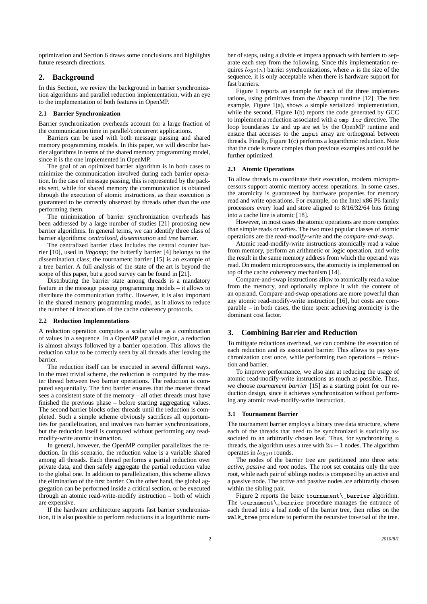optimization and Section 6 draws some conclusions and highlights future research directions.

# **2. Background**

In this Section, we review the background in barrier synchronization algorithms and parallel reduction implementation, with an eye to the implementation of both features in OpenMP.

# **2.1 Barrier Synchronization**

Barrier synchronization overheads account for a large fraction of the communication time in parallel/concurrent applications.

Barriers can be used with both message passing and shared memory programming models. In this paper, we will describe barrier algorithms in terms of the shared memory programming model, since it is the one implemented in OpenMP.

The goal of an optimized barrier algorithm is in both cases to minimize the communication involved during each barrier operation. In the case of message passing, this is represented by the packets sent, while for shared memory the communication is obtained through the execution of atomic instructions, as their execution is guaranteed to be correctly observed by threads other than the one performing them.

The minimization of barrier synchronization overheads has been addressed by a large number of studies [21] proposing new barrier algorithms. In general terms, we can identify three class of barrier algorithms: *centralized*, *dissemination* and *tree* barrier.

The centralized barrier class includes the central counter barrier [10], used in *libgomp*; the butterfly barrier [4] belongs to the dissemination class; the tournament barrier [15] is an example of a tree barrier. A full analysis of the state of the art is beyond the scope of this paper, but a good survey can be found in [21].

Distributing the barrier state among threads is a mandatory feature in the message passing programming models – it allows to distribute the communication traffic. However, it is also important in the shared memory programming model, as it allows to reduce the number of invocations of the cache coherency protocols.

## **2.2 Reduction Implementations**

A reduction operation computes a scalar value as a combination of values in a sequence. In a OpenMP parallel region, a reduction is almost always followed by a barrier operation. This allows the reduction value to be correctly seen by all threads after leaving the barrier.

The reduction itself can be executed in several different ways. In the most trivial scheme, the reduction is computed by the master thread between two barrier operations. The reduction is computed sequentially. The first barrier ensures that the master thread sees a consistent state of the memory – all other threads must have finished the previous phase – before starting aggregating values. The second barrier blocks other threads until the reduction is completed. Such a simple scheme obviously sacrifices all opportunities for parallelization, and involves two barrier synchronizations, but the reduction itself is computed without performing any readmodify-write atomic instruction.

In general, however, the OpenMP compiler parallelizes the reduction. In this scenario, the reduction value is a variable shared among all threads. Each thread performs a partial reduction over private data, and then safely aggregate the partial reduction value to the global one. In addition to parallelization, this scheme allows the elimination of the first barrier. On the other hand, the global aggregation can be performed inside a critical section, or be executed through an atomic read-write-modify instruction – both of which are expensive.

If the hardware architecture supports fast barrier synchronization, it is also possible to perform reductions in a logarithmic number of steps, using a divide et impera approach with barriers to separate each step from the following. Since this implementation requires  $log_2(n)$  barrier synchronizations, where n is the size of the sequence, it is only acceptable when there is hardware support for fast barriers.

Figure 1 reports an example for each of the three implementations, using primitives from the *libgomp* runtime [12]. The first example, Figure 1(a), shows a simple serialized implementation, while the second, Figure 1(b) reports the code generated by GCC to implement a reduction associated with a omp for directive. The loop boundaries lw and up are set by the OpenMP runtime and ensure that accesses to the input array are orthogonal between threads. Finally, Figure 1(c) performs a logarithmic reduction. Note that the code is more complex than previous examples and could be further optimized.

# **2.3 Atomic Operations**

To allow threads to coordinate their execution, modern microprocessors support atomic memory access operations. In some cases, the atomicity is guaranteed by hardware properties for memory read and write operations. For example, on the Intel x86 P6 family processors every load and store aligned to 8/16/32/64 bits fitting into a cache line is atomic [18].

However, in most cases the atomic operations are more complex than simple reads or writes. The two most popular classes of atomic operations are the *read-modify-write* and the *compare-and-swap*.

Atomic read-modify-write instructions atomically read a value from memory, perform an arithmetic or logic operation, and write the result in the same memory address from which the operand was read. On modern microprocessors, the atomicity is implemented on top of the cache coherency mechanism [14].

Compare-and-swap instructions allow to atomically read a value from the memory, and optionally replace it with the content of an operand. Compare-and-swap operations are more powerful than any atomic read-modify-write instruction [16], but costs are comparable – in both cases, the time spent achieving atomicity is the dominant cost factor.

# **3. Combining Barrier and Reduction**

To mitigate reductions overhead, we can combine the execution of each reduction and its associated barrier. This allows to pay synchronization cost once, while performing two operations – reduction and barrier.

To improve performance, we also aim at reducing the usage of atomic read-modify-write instructions as much as possible. Thus, we choose *tournament barrier* [15] as a starting point for our reduction design, since it achieves synchronization without performing any atomic read-modify-write instruction.

## **3.1 Tournament Barrier**

The tournament barrier employs a binary tree data structure, where each of the threads that need to be synchronized is statically associated to an arbitrarily chosen leaf. Thus, for synchronizing  $n$ threads, the algorithm uses a tree with  $2n-1$  nodes. The algorithm operates in  $log_2 n$  rounds.

The nodes of the barrier tree are partitioned into three sets: *active*, *passive* and *root* nodes. The root set contains only the tree root, while each pair of siblings nodes is composed by an active and a passive node. The active and passive nodes are arbitrarily chosen within the sibling pair.

Figure 2 reports the basic tournament\\_barrier algorithm. The tournament\\_barrier procedure manages the entrance of each thread into a leaf node of the barrier tree, then relies on the walk\_tree procedure to perform the recursive traversal of the tree.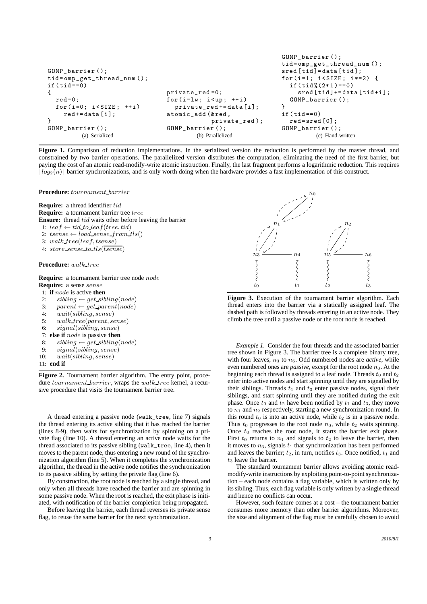```
GOMP_barrier ();
tid=omp_get_thread_num();
if (tid == 0){
  red = 0;for(i=0; i < SIZE; ++i)red += data [i ];
}
GOMP_barrier ();
          (a) Serialized
                                    private_red =0;
                                    for (i=1w; i<sub>up</sub>; ++i)private_red += data [i];
                                    atomic_add (& red ,
                                                 private_red );
                                    GOMP_barrier ();
                                            (b) Parallelized
                                                                      GOMP_barrier ();
                                                                      tid = omp_get_thread_num ();
                                                                      sred[tid]=data[tid];for (i=1; i < SIZE; i*=2) {
                                                                         if (tid<(2*i)=0)sred[tid] += data[tid + i];GOMP_barrier ();
                                                                      }
                                                                      if (tid == 0)red = sred [0]:
                                                                      GOMP_barrier ();
                                                                                 (c) Hand-written
```
Figure 1. Comparison of reduction implementations. In the serialized version the reduction is performed by the master thread, and constrained by two barrier operations. The parallelized version distributes the computation, eliminating the need of the first barrier, but paying the cost of an atomic read-modify-write atomic instruction. Finally, the last fragment performs a logarithmic reduction. This requires  $\lceil log_2(n) \rceil$  barrier synchronizations, and is only worth doing when the hardware provides a fast implementation of this construct.

**Procedure:** tournament barrier

**Require:** a thread identifier tid **Require:** a tournament barrier tree tree **Ensure:** thread tid waits other before leaving the barrier 1: leaf  $\leftarrow$  tid to leaf (tree, tid) 2:  $tsense \leftarrow load\_sense\_from\_tls()$ 3: walk tree(leaf,tsense) 4: store\_sense\_to\_tls( $t$ sense) **Procedure:** walk\_tree **Require:** a tournament barrier tree node node **Require:** a sense sense 1: **if** node is active **then** 2:  $sibling \leftarrow get \, sibling(node)$ 3:  $parent \leftarrow get\_parent(node)$ 4:  $wait(sibling, sense)$ <br>5:  $walk tree(narent, see)$  $walk\_tree(parent, sense)$ 6: signal(sibling, sense) 7: **else if** node is passive **then** 8:  $sibling \leftarrow get\_sibling(node)$ 9: signal(sibling, sense) 10: wait(sibling, sense) 11: **end if**



**Figure 2.** Tournament barrier algorithm. The entry point, procedure *tournament barrier*, wraps the *walk\_tree* kernel, a recursive procedure that visits the tournament barrier tree.

A thread entering a passive node (walk\_tree, line 7) signals the thread entering its active sibling that it has reached the barrier (lines 8-9), then waits for synchronization by spinning on a private flag (line 10). A thread entering an active node waits for the thread associated to its passive sibling (walk\_tree, line 4), then it moves to the parent node, thus entering a new round of the synchronization algorithm (line 5). When it completes the synchronization algorithm, the thread in the active node notifies the synchronization to its passive sibling by setting the private flag (line 6).

By construction, the root node is reached by a single thread, and only when all threads have reached the barrier and are spinning in some passive node. When the root is reached, the exit phase is initiated, with notification of the barrier completion being propagated.

Before leaving the barrier, each thread reverses its private sense flag, to reuse the same barrier for the next synchronization.



**Figure 3.** Execution of the tournament barrier algorithm. Each thread enters into the barrier via a statically assigned leaf. The dashed path is followed by threads entering in an active node. They climb the tree until a passive node or the root node is reached.

*Example 1.* Consider the four threads and the associated barrier tree shown in Figure 3. The barrier tree is a complete binary tree, with four leaves,  $n_3$  to  $n_6$ . Odd numbered nodes are *active*, while even numbered ones are *passive*, except for the root node  $n_0$ . At the beginning each thread is assigned to a leaf node. Threads  $t_0$  and  $t_2$ enter into active nodes and start spinning until they are signalled by their siblings. Threads  $t_1$  and  $t_3$  enter passive nodes, signal their siblings, and start spinning until they are notified during the exit phase. Once  $t_0$  and  $t_2$  have been notified by  $t_1$  and  $t_3$ , they move to  $n_1$  and  $n_2$  respectively, starting a new synchronization round. In this round  $t_0$  is into an active node, while  $t_2$  is in a passive node. Thus  $t_0$  progresses to the root node  $n_0$ , while  $t_2$  waits spinning. Once  $t_0$  reaches the root node, it starts the barrier exit phase. First  $t_0$  returns to  $n_1$  and signals to  $t_2$  to leave the barrier, then it moves to  $n_3$ , signals  $t_1$  that synchronization has been performed and leaves the barrier;  $t_2$ , in turn, notifies  $t_3$ . Once notified,  $t_1$  and  $t_3$  leave the barrier.

The standard tournament barrier allows avoiding atomic readmodify-write instructions by exploiting point-to-point synchronization – each node contains a flag variable, which is written only by its sibling. Thus, each flag variable is only written by a single thread and hence no conflicts can occur.

However, such feature comes at a cost – the tournament barrier consumes more memory than other barrier algorithms. Moreover, the size and alignment of the flag must be carefully chosen to avoid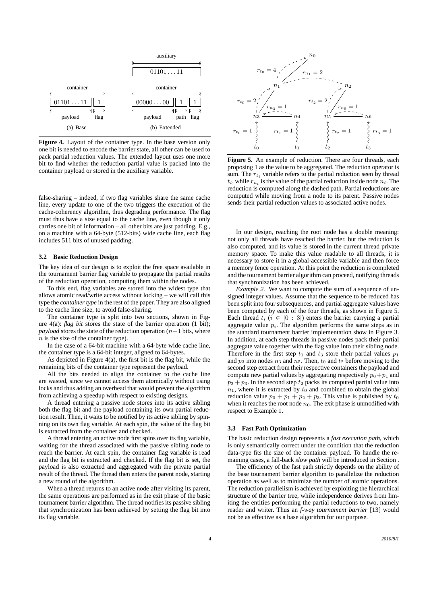

**Figure 4.** Layout of the container type. In the base version only one bit is needed to encode the barrier state, all other can be used to pack partial reduction values. The extended layout uses one more bit to find whether the reduction partial value is packed into the container payload or stored in the auxiliary variable.

false-sharing – indeed, if two flag variables share the same cache line, every update to one of the two triggers the execution of the cache-coherency algorithm, thus degrading performance. The flag must thus have a size equal to the cache line, even though it only carries one bit of information – all other bits are just padding. E.g., on a machine with a 64-byte (512-bits) wide cache line, each flag includes 511 bits of unused padding.

## **3.2 Basic Reduction Design**

The key idea of our design is to exploit the free space available in the tournament barrier flag variable to propagate the partial results of the reduction operation, computing them within the nodes.

To this end, flag variables are stored into the widest type that allows atomic read/write access without locking – we will call this type the *container type* in the rest of the paper. They are also aligned to the cache line size, to avoid false-sharing.

The container type is split into two sections, shown in Figure 4(a): *flag bit* stores the state of the barrier operation (1 bit); *payload* stores the state of the reduction operation (n−1 bits, where  $n$  is the size of the container type).

In the case of a 64-bit machine with a 64-byte wide cache line, the container type is a 64-bit integer, aligned to 64-bytes.

As depicted in Figure 4(a), the first bit is the flag bit, while the remaining bits of the container type represent the payload.

All the bits needed to align the container to the cache line are wasted, since we cannot access them atomically without using locks and thus adding an overhead that would prevent the algorithm from achieving a speedup with respect to existing designs.

A thread entering a passive node stores into its active sibling both the flag bit and the payload containing its own partial reduction result. Then, it waits to be notified by its active sibling by spinning on its own flag variable. At each spin, the value of the flag bit is extracted from the container and checked.

A thread entering an active node first spins over its flag variable, waiting for the thread associated with the passive sibling node to reach the barrier. At each spin, the container flag variable is read and the flag bit is extracted and checked. If the flag bit is set, the payload is also extracted and aggregated with the private partial result of the thread. The thread then enters the parent node, starting a new round of the algorithm.

When a thread returns to an active node after visiting its parent, the same operations are performed as in the exit phase of the basic tournament barrier algorithm. The thread notifies its passive sibling that synchronization has been achieved by setting the flag bit into its flag variable.



**Figure 5.** An example of reduction. There are four threads, each proposing 1 as the value to be aggregated. The reduction operator is sum. The  $r_{t_i}$  variable refers to the partial reduction seen by thread  $t_i$ , while  $r_{n_i}$  is the value of the partial reduction inside node  $n_i$ . The reduction is computed along the dashed path. Partial reductions are computed while moving from a node to its parent. Passive nodes sends their partial reduction values to associated active nodes.

In our design, reaching the root node has a double meaning: not only all threads have reached the barrier, but the reduction is also computed, and its value is stored in the current thread private memory space. To make this value readable to all threads, it is necessary to store it in a global-accessible variable and then force a memory fence operation. At this point the reduction is completed and the tournament barrier algorithm can proceed, notifying threads that synchronization has been achieved.

*Example 2.* We want to compute the sum of a sequence of unsigned integer values. Assume that the sequence to be reduced has been split into four subsequences, and partial aggregate values have been computed by each of the four threads, as shown in Figure 5. Each thread  $t_i$  ( $i \in [0 : 3]$ ) enters the barrier carrying a partial aggregate value  $p_i$ . The algorithm performs the same steps as in the standard tournament barrier implementation show in Figure 3. In addition, at each step threads in passive nodes pack their partial aggregate value together with the flag value into their sibling node. Therefore in the first step  $t_1$  and  $t_3$  store their partial values  $p_1$ and  $p_3$  into nodes  $n_3$  and  $n_5$ . Then,  $t_0$  and  $t_2$  before moving to the second step extract from their respective containers the payload and compute new partial values by aggregating respectively  $p_0+p_1$  and  $p_2 + p_3$ . In the second step  $t_2$  packs its computed partial value into  $n_1$ , where it is extracted by  $t_0$  and combined to obtain the global reduction value  $p_0 + p_1 + p_2 + p_3$ . This value is published by  $t_0$ when it reaches the root node  $n_0$ . The exit phase is unmodified with respect to Example 1.

## **3.3 Fast Path Optimization**

The basic reduction design represents a *fast execution path*, which is only semantically correct under the condition that the reduction data-type fits the size of the container payload. To handle the remaining cases, a fall-back *slow path* will be introduced in Section .

The efficiency of the fast path strictly depends on the ability of the base tournament barrier algorithm to parallelize the reduction operation as well as to minimize the number of atomic operations. The reduction parallelism is achieved by exploiting the hierarchical structure of the barrier tree, while independence derives from limiting the entities performing the partial reductions to two, namely reader and writer. Thus an *f-way tournament barrier* [13] would not be as effective as a base algorithm for our purpose.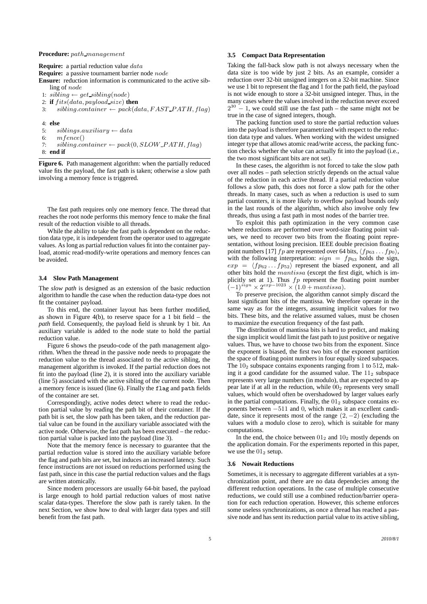**Procedure:** path\_management

**Require:** a partial reduction value data **Require:** a passive tournament barrier node node **Ensure:** reduction information is communicated to the active sibling of node

- 1:  $sibling \leftarrow get\_sibling(node)$
- 2: **if** fits(data,payload size) **then**
- 3: sibling.container ← pack(data, FAST\_PATH, flaq)
- 4: **else** 5:  $sibling s. auxiliary \leftarrow data$ 6: mfence() 7:  $sibling.contribiner \leftarrow pack(0, SLOW\_PATH, flag)$ 8: **end if**

**Figure 6.** Path management algorithm: when the partially reduced value fits the payload, the fast path is taken; otherwise a slow path involving a memory fence is triggered.

The fast path requires only one memory fence. The thread that reaches the root node performs this memory fence to make the final result of the reduction visible to all threads.

While the ability to take the fast path is dependent on the reduction data type, it is independent from the operator used to aggregate values. As long as partial reduction values fit into the container payload, atomic read-modify-write operations and memory fences can be avoided.

# **3.4 Slow Path Management**

The *slow path* is designed as an extension of the basic reduction algorithm to handle the case when the reduction data-type does not fit the container payload.

To this end, the container layout has been further modified, as shown in Figure 4(b), to reserve space for a 1 bit field – the *path* field. Consequently, the payload field is shrunk by 1 bit. An auxiliary variable is added to the node state to hold the partial reduction value.

Figure 6 shows the pseudo-code of the path management algorithm. When the thread in the passive node needs to propagate the reduction value to the thread associated to the active sibling, the management algorithm is invoked. If the partial reduction does not fit into the payload (line 2), it is stored into the auxiliary variable (line 5) associated with the active sibling of the current node. Then a memory fence is issued (line 6). Finally the flag and path fields of the container are set.

Correspondingly, active nodes detect where to read the reduction partial value by reading the path bit of their container. If the path bit is set, the slow path has been taken, and the reduction partial value can be found in the auxiliary variable associated with the active node. Otherwise, the fast path has been executed – the reduction partial value is packed into the payload (line 3).

Note that the memory fence is necessary to guarantee that the partial reduction value is stored into the auxiliary variable before the flag and path bits are set, but induces an increased latency. Such fence instructions are not issued on reductions performed using the fast path, since in this case the partial reduction values and the flags are written atomically.

Since modern processors are usually 64-bit based, the payload is large enough to hold partial reduction values of most native scalar data-types. Therefore the slow path is rarely taken. In the next Section, we show how to deal with larger data types and still benefit from the fast path.

## **3.5 Compact Data Representation**

Taking the fall-back slow path is not always necessary when the data size is too wide by just 2 bits. As an example, consider a reduction over 32-bit unsigned integers on a 32-bit machine. Since we use 1 bit to represent the flag and 1 for the path field, the payload is not wide enough to store a 32-bit unsigned integer. Thus, in the many cases where the values involved in the reduction never exceed  $2^{30} - 1$ , we could still use the fast path – the same might not be true in the case of signed integers, though.

The packing function used to store the partial reduction values into the payload is therefore parametrized with respect to the reduction data type and values. When working with the widest unsigned integer type that allows atomic read/write access, the packing function checks whether the value can actually fit into the payload (i.e., the two most significant bits are not set).

In these cases, the algorithm is not forced to take the slow path over all nodes – path selection strictly depends on the actual value of the reduction in each active thread. If a partial reduction value follows a slow path, this does not force a slow path for the other threads. In many cases, such as when a reduction is used to sum partial counters, it is more likely to overflow payload bounds only in the last rounds of the algorithm, which also involve only few threads, thus using a fast path in most nodes of the barrier tree.

To exploit this path optimization in the very common case where reductions are performed over word-size floating point values, we need to recover two bits from the floating point representation, without losing precision. IEEE double precision floating point numbers [17]  $fp$  are represented over 64 bits,  $\langle fp_{63} \dots fp_0 \rangle$ , with the following interpretation:  $sign = fp_{63}$  holds the sign,  $exp = \langle fp_{62} \dots tp_{52}\rangle$  represent the biased exponent, and all other bits hold the mantissa (except the first digit, which is implicitly set at 1). Thus  $fp$  represent the floating point number  $(-1)^{sign} \times 2^{exp-1023} \times (1.0 + mantissa).$ 

To preserve precision, the algorithm cannot simply discard the least significant bits of the mantissa. We therefore operate in the same way as for the integers, assuming implicit values for two bits. These bits, and the relative assumed values, must be chosen to maximize the execution frequency of the fast path.

The distribution of mantissa bits is hard to predict, and making the sign implicit would limit the fast path to just positive or negative values. Thus, we have to choose two bits from the exponent. Since the exponent is biased, the first two bits of the exponent partition the space of floating point numbers in four equally sized subspaces. The  $10<sub>2</sub>$  subspace contains exponents ranging from 1 to 512, making it a good candidate for the assumed value. The  $11<sub>2</sub>$  subspace represents very large numbers (in modulo), that are expected to appear late if at all in the reduction, while  $00<sub>2</sub>$  represents very small values, which would often be overshadowed by larger values early in the partial computations. Finally, the  $01<sub>2</sub>$  subspace contains exponents between −511 and 0, which makes it an excellent candidate, since it represents most of the range  $(2, -2)$  (excluding the values with a modulo close to zero), which is suitable for many computations.

In the end, the choice between  $01<sub>2</sub>$  and  $10<sub>2</sub>$  mostly depends on the application domain. For the experiments reported in this paper, we use the  $01<sub>2</sub>$  setup.

#### **3.6 Nowait Reductions**

Sometimes, it is necessary to aggregate different variables at a synchronization point, and there are no data dependecies among the different reduction operations. In the case of multiple consecutive reductions, we could still use a combined reduction/barrier operation for each reduction operation. However, this scheme enforces some useless synchronizations, as once a thread has reached a passive node and has sent its reduction partial value to its active sibling,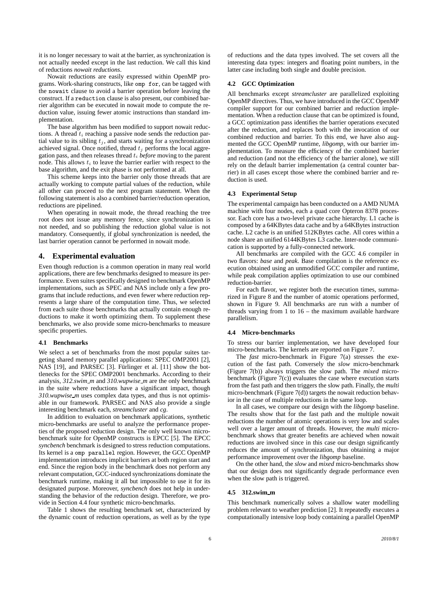it is no longer necessary to wait at the barrier, as synchronization is not actually needed except in the last reduction. We call this kind of reductions *nowait reductions*.

Nowait reductions are easily expressed within OpenMP programs. Work-sharing constructs, like omp for, can be tagged with the nowait clause to avoid a barrier operation before leaving the construct. If a reduction clause is also present, our combined barrier algorithm can be executed in nowait mode to compute the reduction value, issuing fewer atomic instructions than standard implementation.

The base algorithm has been modified to support nowait reductions. A thread  $t_i$  reaching a passive node sends the reduction partial value to its sibling  $t_j$ , and starts waiting for a synchronization achieved signal. Once notified, thread  $t_j$  performs the local aggregation pass, and then releases thread t<sup>i</sup> *before* moving to the parent node. This allows  $t_i$  to leave the barrier earlier with respect to the base algorithm, and the exit phase is not performed at all.

This scheme keeps into the barrier only those threads that are actually working to compute partial values of the reduction, while all other can proceed to the next program statement. When the following statement is also a combined barrier/reduction operation, reductions are pipelined.

When operating in nowait mode, the thread reaching the tree root does not issue any memory fence, since synchronization is not needed, and so publishing the reduction global value is not mandatory. Consequently, if global synchronization is needed, the last barrier operation cannot be performed in nowait mode.

# **4. Experimental evaluation**

Even though reduction is a common operation in many real world applications, there are few benchmarks designed to measure its performance. Even suites specifically designed to benchmark OpenMP implementations, such as SPEC and NAS include only a few programs that include reductions, and even fewer where reduction represents a large share of the computation time. Thus, we selected from each suite those benchmarks that actually contain enough reductions to make it worth optimizing them. To supplement these benchmarks, we also provide some micro-benchmarks to measure specific properties.

# **4.1 Benchmarks**

We select a set of benchmarks from the most popular suites targeting shared memory parallel applications: SPEC OMP2001 [2], NAS [19], and PARSEC [3]. Fürlinger et al. [11] show the bottlenecks for the SPEC OMP2001 benchmarks. According to their analysis, *312.swim m* and *310.wupwise m* are the only benchmark in the suite where reductions have a significant impact, though *310.wupwise m* uses complex data types, and thus is not optimisable in our framework. PARSEC and NAS also provide a single interesting benchmark each, *streamcluster* and *cg*.

In addition to evaluation on benchmark applications, synthetic micro-benchmarks are useful to analyze the performance properties of the proposed reduction design. The only well known microbenchmark suite for OpenMP constructs is EPCC [5]. The EPCC *syncbench* benchmark is designed to stress reduction computations. Its kernel is a omp parallel region. However, the GCC OpenMP implementation introduces implicit barriers at both region start and end. Since the region body in the benchmark does not perform any relevant computation, GCC-induced synchronizations dominate the benchmark runtime, making it all but impossible to use it for its designated purpose. Moreover, *syncbench* does not help in understanding the behavior of the reduction design. Therefore, we provide in Section 4.4 four synthetic micro-benchmarks.

Table 1 shows the resulting benchmark set, characterized by the dynamic count of reduction operations, as well as by the type of reductions and the data types involved. The set covers all the interesting data types: integers and floating point numbers, in the latter case including both single and double precision.

## **4.2 GCC Optimization**

All benchmarks except *streamcluster* are parallelized exploiting OpenMP directives. Thus, we have introduced in the GCC OpenMP compiler support for our combined barrier and reduction implementation. When a reduction clause that can be optimized is found, a GCC optimization pass identifies the barrier operations executed after the reduction, and replaces both with the invocation of our combined reduction and barrier. To this end, we have also augmented the GCC OpenMP runtime, *libgomp*, with our barrier implementation. To measure the efficiency of the combined barrier and reduction (and not the efficiency of the barrier alone), we still rely on the default barrier implementation (a central counter barrier) in all cases except those where the combined barrier and reduction is used.

#### **4.3 Experimental Setup**

The experimental campaign has been conducted on a AMD NUMA machine with four nodes, each a quad core Opteron 8378 processor. Each core has a two-level private cache hierarchy. L1 cache is composed by a 64KBytes data cache and by a 64KBytes instruction cache. L2 cache is an unified 512KBytes cache. All cores within a node share an unified 6144KBytes L3 cache. Inter-node communication is supported by a fully-connected network.

All benchmarks are compiled with the GCC 4.6 compiler in two flavors: *base* and *peak*. Base compilation is the reference execution obtained using an unmodified GCC compiler and runtime, while peak compilation applies optimization to use our combined reduction-barrier.

For each flavor, we register both the execution times, summarized in Figure 8 and the number of atomic operations performed, shown in Figure 9. All benchmarks are run with a number of threads varying from 1 to 16 – the maximum available hardware parallelism.

# **4.4 Micro-benchmarks**

To stress our barrier implementation, we have developed four micro-benchmarks. The kernels are reported on Figure 7.

The *fast* micro-benchmark in Figure 7(a) stresses the execution of the fast path. Conversely the *slow* micro-benchmark (Figure 7(b)) always triggers the slow path. The *mixed* microbenchmark (Figure  $7(c)$ ) evaluates the case where execution starts from the fast path and then triggers the slow path. Finally, the *multi* micro-benchmark (Figure 7(d)) targets the nowait reduction behavior in the case of multiple reductions in the same loop.

In all cases, we compare our design with the *libgomp* baseline. The results show that for the fast path and the multiple nowait reductions the number of atomic operations is very low and scales well over a larger amount of threads. However, the *multi* microbenchmark shows that greater benefits are achieved when nowait reductions are involved since in this case our design significantly reduces the amount of synchronization, thus obtaining a major performance improvement over the *libgomp* baseline.

On the other hand, the *slow* and *mixed* micro-benchmarks show that our design does not significantly degrade performance even when the slow path is triggered.

## **4.5 312.swim m**

This benchmark numerically solves a shallow water modelling problem relevant to weather prediction [2]. It repeatedly executes a computationally intensive loop body containing a parallel OpenMP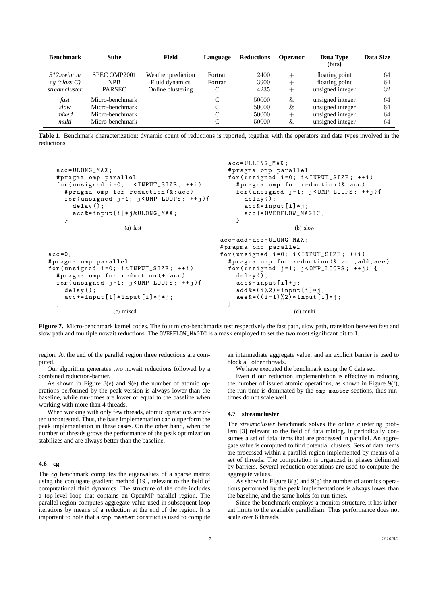| <b>Benchmark</b>                                 | <b>Suite</b>                                                             | Field                                                     | Language           | <b>Reductions</b>                | <b>Operator</b>       | Data Type<br>(bits)                                                          | Data Size            |
|--------------------------------------------------|--------------------------------------------------------------------------|-----------------------------------------------------------|--------------------|----------------------------------|-----------------------|------------------------------------------------------------------------------|----------------------|
| $312$ .swim_m<br>$cg$ (class C)<br>streamcluster | SPEC OMP2001<br><b>NPB</b><br><b>PARSEC</b>                              | Weather prediction<br>Fluid dynamics<br>Online clustering | Fortran<br>Fortran | 2400<br>3900<br>4235             |                       | floating point<br>floating point<br>unsigned integer                         | 64<br>64<br>32       |
| fast<br>slow<br>mixed<br>multi                   | Micro-benchmark<br>Micro-benchmark<br>Micro-benchmark<br>Micro-benchmark |                                                           |                    | 50000<br>50000<br>50000<br>50000 | &<br>&<br>$^{+}$<br>& | unsigned integer<br>unsigned integer<br>unsigned integer<br>unsigned integer | 64<br>64<br>64<br>64 |

**Table 1.** Benchmark characterization: dynamic count of reductions is reported, together with the operators and data types involved in the reductions.

```
acc = ULONG_MAX ;
  # pragma omp parallel
  for ( unsigned i =0; i < INPUT_SIZE ; ++ i)
    # pragma omp for reduction (&: acc )
    for (unsigned j=1; j<OMP_LOOPS; ++j){
       delay ();
       acc &= input [i ]* j& ULONG_MAX ;
    }
                      (a) fast
                                                    acc = ULLONG_MAX ;
                                                    # pragma omp parallel
                                                    for (unsigned i=0; i<INPUT_SIZE; ++i)
                                                       # pragma omp for reduction (&: acc )
                                                      for (unsigned j=1; j < OMP_LOOPS; ++j){
                                                         delay ();
                                                         acc &= input [i ]* j;
                                                         acc |= OVERFLOW_MAGIC ;
                                                      }
                                                                        (b) slow
acc = 0:
# pragma omp parallel
for (unsigned i=0; i<INPUT_SIZE; ++i)
  #pragma omp for reduction (+: acc)
  for (unsigned j=1; j<OMP_LOOPS; ++j){
    delay ();
    acc += input[i] * input[i] * j;}
                  (c) mixed
                                                  acc = add = aee = ULONG_MAX ;
                                                  # pragma omp parallel
                                                  for ( unsigned i =0; i < INPUT_SIZE ; ++ i)
                                                    # pragma omp for reduction (&: acc , add , aee )
                                                    for (unsigned j=1; j<0MP_LOOPS; ++j) {
                                                       delay ();
                                                       acc & = input[i] * j;add \&=(i \, 2) * input [i] * jaee &=( (i-1)\%2)*input[i]*j;}
                                                                       (d) multi
```
**Figure 7.** Micro-benchmark kernel codes. The four micro-benchmarks test respectively the fast path, slow path, transition between fast and slow path and multiple nowait reductions. The OVERFLOW\_MAGIC is a mask employed to set the two most significant bit to 1.

region. At the end of the parallel region three reductions are computed.

Our algorithm generates two nowait reductions followed by a combined reduction-barrier.

As shown in Figure 8(e) and 9(e) the number of atomic operations performed by the peak version is always lower than the baseline, while run-times are lower or equal to the baseline when working with more than 4 threads.

When working with only few threads, atomic operations are often uncontested. Thus, the base implementation can outperform the peak implementation in these cases. On the other hand, when the number of threads grows the performance of the peak optimization stabilizes and are always better than the baseline.

## **4.6 cg**

The *cg* benchmark computes the eigenvalues of a sparse matrix using the conjugate gradient method [19], relevant to the field of computational fluid dynamics. The structure of the code includes a top-level loop that contains an OpenMP parallel region. The parallel region computes aggregate value used in subsequent loop iterations by means of a reduction at the end of the region. It is important to note that a omp master construct is used to compute an intermediate aggregate value, and an explicit barrier is used to block all other threads.

We have executed the benchmark using the C data set.

Even if our reduction implementation is effective in reducing the number of issued atomic operations, as shown in Figure 9(f), the run-time is dominated by the omp master sections, thus runtimes do not scale well.

### **4.7 streamcluster**

The *streamcluster* benchmark solves the online clustering problem [3] relevant to the field of data mining. It periodically consumes a set of data items that are processed in parallel. An aggregate value is computed to find potential clusters. Sets of data items are processed within a parallel region implemented by means of a set of threads. The computation is organized in phases delimited by barriers. Several reduction operations are used to compute the aggregate values.

As shown in Figure  $8(g)$  and  $9(g)$  the number of atomics operations performed by the peak implementations is always lower than the baseline, and the same holds for run-times.

Since the benchmark employs a monitor structure, it has inherent limits to the available parallelism. Thus performance does not scale over 6 threads.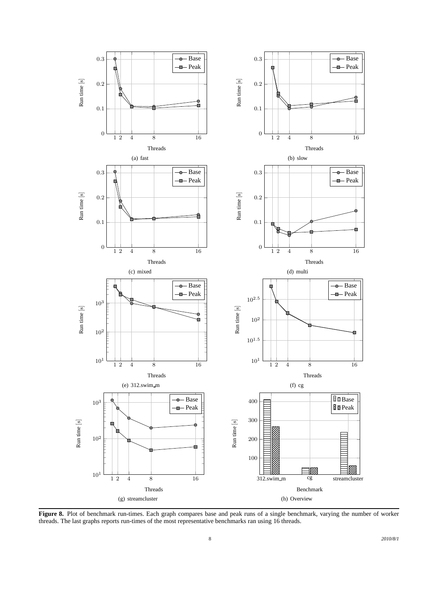

Figure 8. Plot of benchmark run-times. Each graph compares base and peak runs of a single benchmark, varying the number of worker threads. The last graphs reports run-times of the most representative benchmarks ran using 16 threads.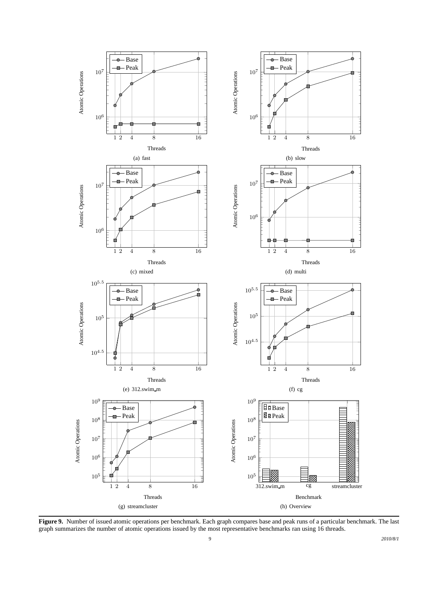

**Figure 9.** Number of issued atomic operations per benchmark. Each graph compares base and peak runs of a particular benchmark. The last graph summarizes the number of atomic operations issued by the most representative benchmarks ran using 16 threads.

9 *2010/8/1*